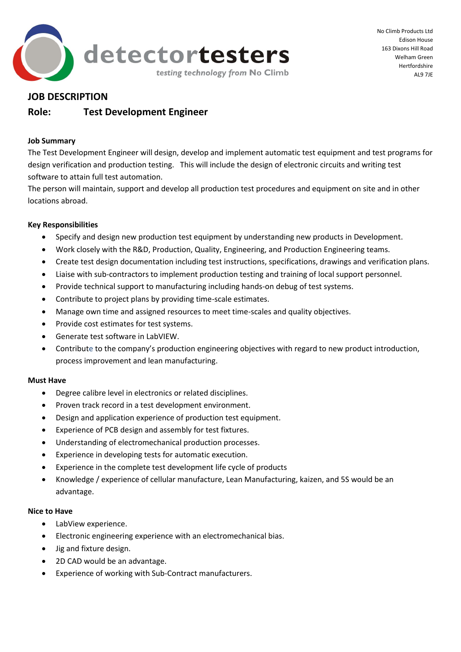

No Climb Products Ltd Edison House 163 Dixons Hill Road Welham Green Hertfordshire AL9 7JE

## **JOB DESCRIPTION**

# **Role: Test Development Engineer**

### **Job Summary**

The Test Development Engineer will design, develop and implement automatic test equipment and test programs for design verification and production testing. This will include the design of electronic circuits and writing test software to attain full test automation.

The person will maintain, support and develop all production test procedures and equipment on site and in other locations abroad.

## **Key Responsibilities**

- Specify and design new production test equipment by understanding new products in Development.
- Work closely with the R&D, Production, Quality, Engineering, and Production Engineering teams.
- Create test design documentation including test instructions, specifications, drawings and verification plans.
- Liaise with sub-contractors to implement production testing and training of local support personnel.
- Provide technical support to manufacturing including hands-on debug of test systems.
- Contribute to project plans by providing time-scale estimates.
- Manage own time and assigned resources to meet time-scales and quality objectives.
- Provide cost estimates for test systems.
- Generate test software in LabVIEW.
- Contribute to the company's production engineering objectives with regard to new product introduction, process improvement and lean manufacturing.

#### **Must Have**

- Degree calibre level in electronics or related disciplines.
- Proven track record in a test development environment.
- Design and application experience of production test equipment.
- Experience of PCB design and assembly for test fixtures.
- Understanding of electromechanical production processes.
- Experience in developing tests for automatic execution.
- Experience in the complete test development life cycle of products
- Knowledge / experience of cellular manufacture, Lean Manufacturing, kaizen, and 5S would be an advantage.

#### **Nice to Have**

- LabView experience.
- Electronic engineering experience with an electromechanical bias.
- Jig and fixture design.
- 2D CAD would be an advantage.
- Experience of working with Sub-Contract manufacturers.